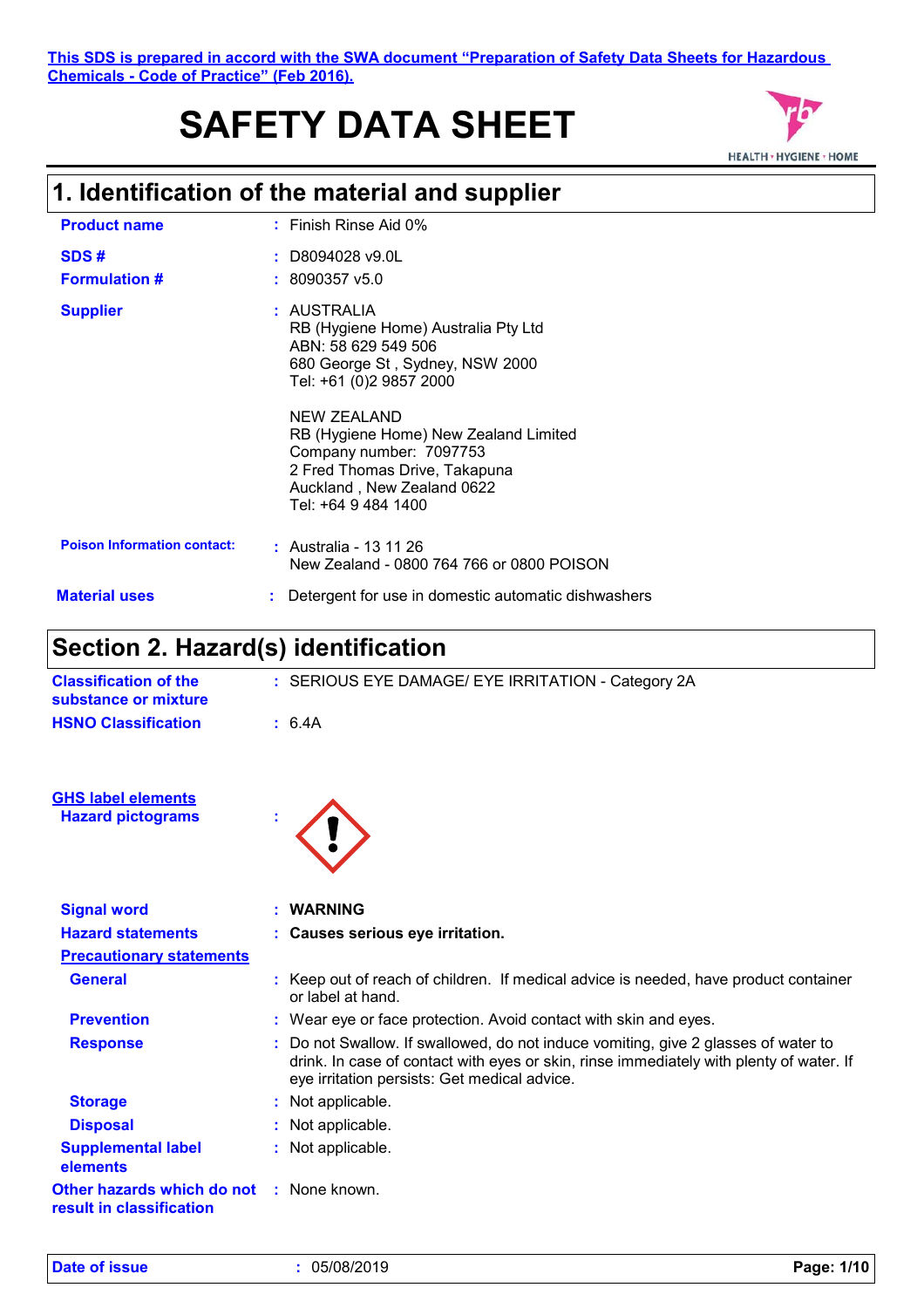# **SAFETY DATA SHEET**



# **1. Identification of the material and supplier**

| <b>Product name</b>                | $:$ Finish Rinse Aid 0%                                                                                                                                |
|------------------------------------|--------------------------------------------------------------------------------------------------------------------------------------------------------|
| SDS#<br><b>Formulation #</b>       | $:$ D8094028 v9.0L<br>$: 8090357$ v5.0                                                                                                                 |
| <b>Supplier</b>                    | : AUSTRALIA<br>RB (Hygiene Home) Australia Pty Ltd<br>ABN: 58 629 549 506<br>680 George St, Sydney, NSW 2000<br>Tel: +61 (0)2 9857 2000<br>NEW ZEALAND |
|                                    | RB (Hygiene Home) New Zealand Limited<br>Company number: 7097753<br>2 Fred Thomas Drive, Takapuna<br>Auckland, New Zealand 0622<br>Tel: +64 9 484 1400 |
| <b>Poison Information contact:</b> | $:$ Australia - 13 11 26<br>New Zealand - 0800 764 766 or 0800 POISON                                                                                  |
| <b>Material uses</b>               | Detergent for use in domestic automatic dishwashers                                                                                                    |

# **Section 2. Hazard(s) identification**

| <b>Classification of the</b><br>substance or mixture   | : SERIOUS EYE DAMAGE/ EYE IRRITATION - Category 2A                                                                                                                                                                            |
|--------------------------------------------------------|-------------------------------------------------------------------------------------------------------------------------------------------------------------------------------------------------------------------------------|
| <b>HSNO Classification</b>                             | : 6.4A                                                                                                                                                                                                                        |
| <b>GHS label elements</b>                              |                                                                                                                                                                                                                               |
| <b>Hazard pictograms</b>                               |                                                                                                                                                                                                                               |
| <b>Signal word</b>                                     | <b>WARNING</b>                                                                                                                                                                                                                |
| <b>Hazard statements</b>                               | : Causes serious eye irritation.                                                                                                                                                                                              |
| <b>Precautionary statements</b>                        |                                                                                                                                                                                                                               |
| <b>General</b>                                         | : Keep out of reach of children. If medical advice is needed, have product container<br>or label at hand.                                                                                                                     |
| <b>Prevention</b>                                      | : Wear eye or face protection. Avoid contact with skin and eyes.                                                                                                                                                              |
| <b>Response</b>                                        | : Do not Swallow. If swallowed, do not induce vomiting, give 2 glasses of water to<br>drink. In case of contact with eyes or skin, rinse immediately with plenty of water. If<br>eye irritation persists: Get medical advice. |
| <b>Storage</b>                                         | : Not applicable.                                                                                                                                                                                                             |
| <b>Disposal</b>                                        | : Not applicable.                                                                                                                                                                                                             |
| <b>Supplemental label</b><br>elements                  | : Not applicable.                                                                                                                                                                                                             |
| Other hazards which do not<br>result in classification | : None known.                                                                                                                                                                                                                 |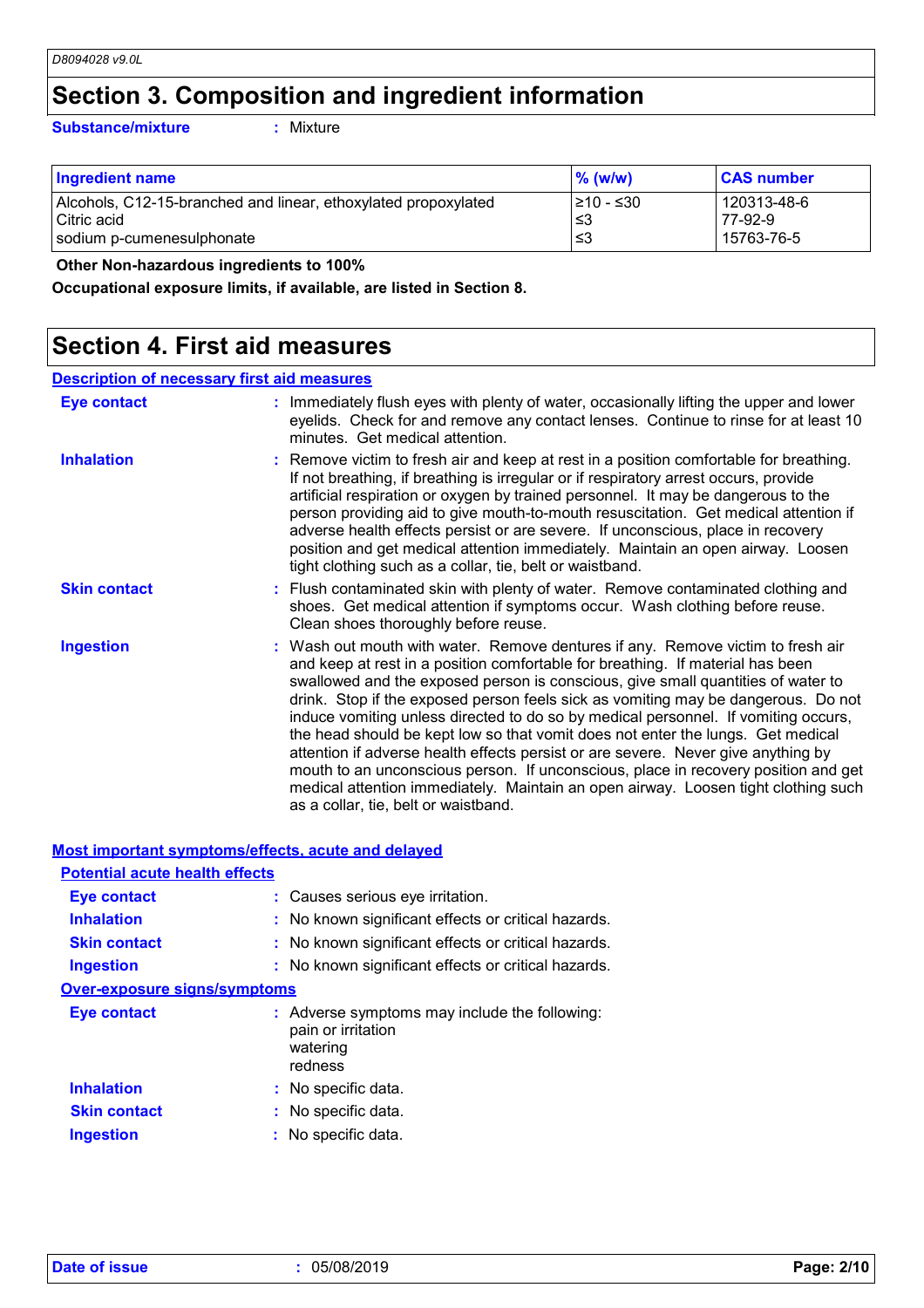### **Section 3. Composition and ingredient information**

**Substance/mixture :**

: Mixture

| <b>Ingredient name</b>                                         | $\%$ (w/w) | <b>CAS number</b> |
|----------------------------------------------------------------|------------|-------------------|
| Alcohols, C12-15-branched and linear, ethoxylated propoxylated | I≥10 - ≤30 | 120313-48-6       |
| l Citric acid                                                  | ∣≤3        | 77-92-9           |
| sodium p-cumenesulphonate                                      | ו≥ ≥       | 15763-76-5        |

 **Other Non-hazardous ingredients to 100%**

**Occupational exposure limits, if available, are listed in Section 8.**

### **Section 4. First aid measures**

| <b>Description of necessary first aid measures</b> |                                                                                                                                                                                                                                                                                                                                                                                                                                                                                                                                                                                                                                                                                                                                                                                                                              |  |
|----------------------------------------------------|------------------------------------------------------------------------------------------------------------------------------------------------------------------------------------------------------------------------------------------------------------------------------------------------------------------------------------------------------------------------------------------------------------------------------------------------------------------------------------------------------------------------------------------------------------------------------------------------------------------------------------------------------------------------------------------------------------------------------------------------------------------------------------------------------------------------------|--|
| Eye contact                                        | : Immediately flush eyes with plenty of water, occasionally lifting the upper and lower<br>eyelids. Check for and remove any contact lenses. Continue to rinse for at least 10<br>minutes. Get medical attention.                                                                                                                                                                                                                                                                                                                                                                                                                                                                                                                                                                                                            |  |
| <b>Inhalation</b>                                  | : Remove victim to fresh air and keep at rest in a position comfortable for breathing.<br>If not breathing, if breathing is irregular or if respiratory arrest occurs, provide<br>artificial respiration or oxygen by trained personnel. It may be dangerous to the<br>person providing aid to give mouth-to-mouth resuscitation. Get medical attention if<br>adverse health effects persist or are severe. If unconscious, place in recovery<br>position and get medical attention immediately. Maintain an open airway. Loosen<br>tight clothing such as a collar, tie, belt or waistband.                                                                                                                                                                                                                                 |  |
| <b>Skin contact</b>                                | : Flush contaminated skin with plenty of water. Remove contaminated clothing and<br>shoes. Get medical attention if symptoms occur. Wash clothing before reuse.<br>Clean shoes thoroughly before reuse.                                                                                                                                                                                                                                                                                                                                                                                                                                                                                                                                                                                                                      |  |
| <b>Ingestion</b>                                   | : Wash out mouth with water. Remove dentures if any. Remove victim to fresh air<br>and keep at rest in a position comfortable for breathing. If material has been<br>swallowed and the exposed person is conscious, give small quantities of water to<br>drink. Stop if the exposed person feels sick as vomiting may be dangerous. Do not<br>induce vomiting unless directed to do so by medical personnel. If vomiting occurs,<br>the head should be kept low so that vomit does not enter the lungs. Get medical<br>attention if adverse health effects persist or are severe. Never give anything by<br>mouth to an unconscious person. If unconscious, place in recovery position and get<br>medical attention immediately. Maintain an open airway. Loosen tight clothing such<br>as a collar, tie, belt or waistband. |  |

| <b>Most important symptoms/effects, acute and delayed</b> |                                                                                            |
|-----------------------------------------------------------|--------------------------------------------------------------------------------------------|
| <b>Potential acute health effects</b>                     |                                                                                            |
| Eye contact                                               | : Causes serious eye irritation.                                                           |
| <b>Inhalation</b>                                         | : No known significant effects or critical hazards.                                        |
| <b>Skin contact</b>                                       | : No known significant effects or critical hazards.                                        |
| <b>Ingestion</b>                                          | : No known significant effects or critical hazards.                                        |
| <b>Over-exposure signs/symptoms</b>                       |                                                                                            |
| Eye contact                                               | : Adverse symptoms may include the following:<br>pain or irritation<br>watering<br>redness |
| <b>Inhalation</b>                                         | : No specific data.                                                                        |
| <b>Skin contact</b>                                       | : No specific data.                                                                        |
| <b>Ingestion</b>                                          | : No specific data.                                                                        |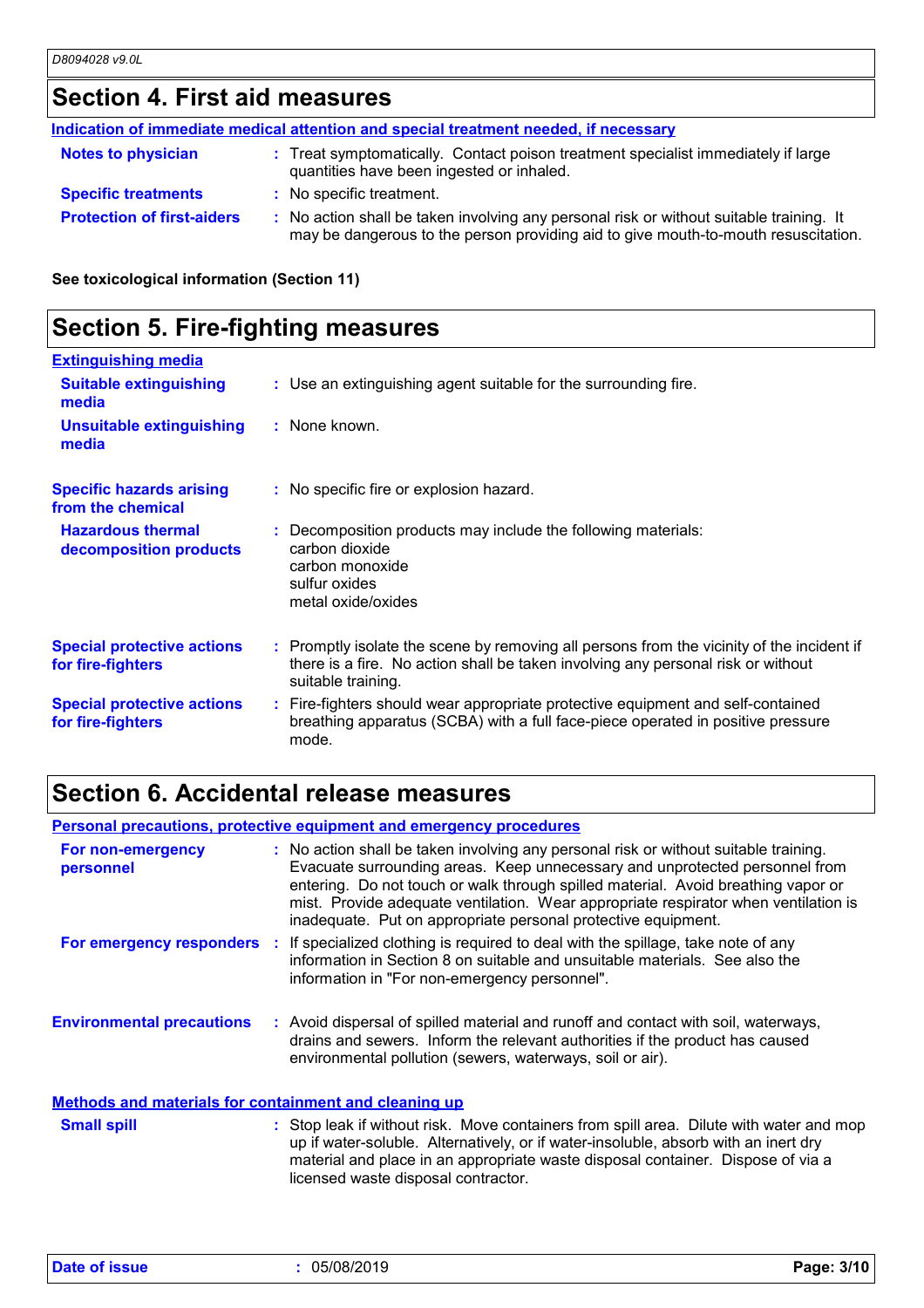# **Section 4. First aid measures**

|                                   | Indication of immediate medical attention and special treatment needed, if necessary                                                                                          |
|-----------------------------------|-------------------------------------------------------------------------------------------------------------------------------------------------------------------------------|
| <b>Notes to physician</b>         | : Treat symptomatically. Contact poison treatment specialist immediately if large<br>quantities have been ingested or inhaled.                                                |
| <b>Specific treatments</b>        | : No specific treatment.                                                                                                                                                      |
| <b>Protection of first-aiders</b> | : No action shall be taken involving any personal risk or without suitable training. It<br>may be dangerous to the person providing aid to give mouth-to-mouth resuscitation. |

**See toxicological information (Section 11)**

# **Section 5. Fire-fighting measures**

| <b>Extinguishing media</b>                             |                                                                                                                                                                                                     |
|--------------------------------------------------------|-----------------------------------------------------------------------------------------------------------------------------------------------------------------------------------------------------|
| <b>Suitable extinguishing</b><br>media                 | : Use an extinguishing agent suitable for the surrounding fire.                                                                                                                                     |
| <b>Unsuitable extinguishing</b><br>media               | : None known.                                                                                                                                                                                       |
| <b>Specific hazards arising</b><br>from the chemical   | : No specific fire or explosion hazard.                                                                                                                                                             |
| <b>Hazardous thermal</b><br>decomposition products     | : Decomposition products may include the following materials:<br>carbon dioxide<br>carbon monoxide<br>sulfur oxides<br>metal oxide/oxides                                                           |
| <b>Special protective actions</b><br>for fire-fighters | : Promptly isolate the scene by removing all persons from the vicinity of the incident if<br>there is a fire. No action shall be taken involving any personal risk or without<br>suitable training. |
| <b>Special protective actions</b><br>for fire-fighters | : Fire-fighters should wear appropriate protective equipment and self-contained<br>breathing apparatus (SCBA) with a full face-piece operated in positive pressure<br>mode.                         |

# **Section 6. Accidental release measures**

| <b>Personal precautions, protective equipment and emergency procedures</b> |  |                                                                                                                                                                                                                                                                                                                                                                                                                  |
|----------------------------------------------------------------------------|--|------------------------------------------------------------------------------------------------------------------------------------------------------------------------------------------------------------------------------------------------------------------------------------------------------------------------------------------------------------------------------------------------------------------|
| For non-emergency<br>personnel                                             |  | : No action shall be taken involving any personal risk or without suitable training.<br>Evacuate surrounding areas. Keep unnecessary and unprotected personnel from<br>entering. Do not touch or walk through spilled material. Avoid breathing vapor or<br>mist. Provide adequate ventilation. Wear appropriate respirator when ventilation is<br>inadequate. Put on appropriate personal protective equipment. |
|                                                                            |  | For emergency responders : If specialized clothing is required to deal with the spillage, take note of any<br>information in Section 8 on suitable and unsuitable materials. See also the<br>information in "For non-emergency personnel".                                                                                                                                                                       |
| <b>Environmental precautions</b>                                           |  | : Avoid dispersal of spilled material and runoff and contact with soil, waterways,<br>drains and sewers. Inform the relevant authorities if the product has caused<br>environmental pollution (sewers, waterways, soil or air).                                                                                                                                                                                  |
| <b>Methods and materials for containment and cleaning up</b>               |  |                                                                                                                                                                                                                                                                                                                                                                                                                  |
| <b>Small spill</b>                                                         |  | : Stop leak if without risk. Move containers from spill area. Dilute with water and mop<br>up if water-soluble. Alternatively, or if water-insoluble, absorb with an inert dry<br>material and place in an appropriate waste disposal container. Dispose of via a<br>licensed waste disposal contractor.                                                                                                         |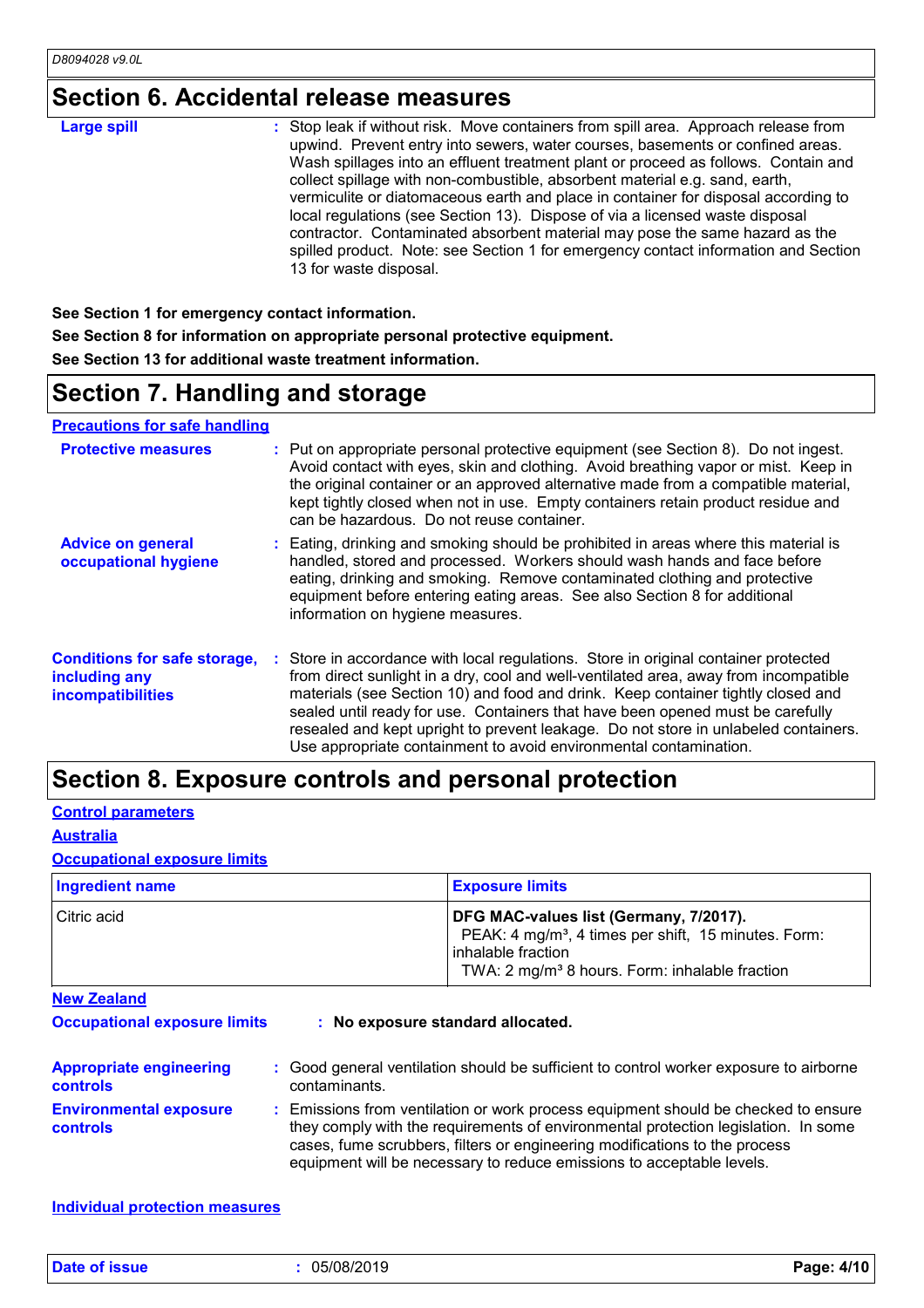# **Section 6. Accidental release measures**

| <b>Large spill</b> | : Stop leak if without risk. Move containers from spill area. Approach release from<br>upwind. Prevent entry into sewers, water courses, basements or confined areas.<br>Wash spillages into an effluent treatment plant or proceed as follows. Contain and<br>collect spillage with non-combustible, absorbent material e.g. sand, earth,<br>vermiculite or diatomaceous earth and place in container for disposal according to<br>local regulations (see Section 13). Dispose of via a licensed waste disposal<br>contractor. Contaminated absorbent material may pose the same hazard as the<br>spilled product. Note: see Section 1 for emergency contact information and Section<br>13 for waste disposal. |
|--------------------|-----------------------------------------------------------------------------------------------------------------------------------------------------------------------------------------------------------------------------------------------------------------------------------------------------------------------------------------------------------------------------------------------------------------------------------------------------------------------------------------------------------------------------------------------------------------------------------------------------------------------------------------------------------------------------------------------------------------|
|--------------------|-----------------------------------------------------------------------------------------------------------------------------------------------------------------------------------------------------------------------------------------------------------------------------------------------------------------------------------------------------------------------------------------------------------------------------------------------------------------------------------------------------------------------------------------------------------------------------------------------------------------------------------------------------------------------------------------------------------------|

**See Section 1 for emergency contact information. See Section 8 for information on appropriate personal protective equipment. See Section 13 for additional waste treatment information.**

### **Section 7. Handling and storage**

#### **Precautions for safe handling**

| <b>Protective measures</b>                                                       | : Put on appropriate personal protective equipment (see Section 8). Do not ingest.<br>Avoid contact with eyes, skin and clothing. Avoid breathing vapor or mist. Keep in<br>the original container or an approved alternative made from a compatible material,<br>kept tightly closed when not in use. Empty containers retain product residue and<br>can be hazardous. Do not reuse container.                                                                                                               |
|----------------------------------------------------------------------------------|---------------------------------------------------------------------------------------------------------------------------------------------------------------------------------------------------------------------------------------------------------------------------------------------------------------------------------------------------------------------------------------------------------------------------------------------------------------------------------------------------------------|
| <b>Advice on general</b><br>occupational hygiene                                 | : Eating, drinking and smoking should be prohibited in areas where this material is<br>handled, stored and processed. Workers should wash hands and face before<br>eating, drinking and smoking. Remove contaminated clothing and protective<br>equipment before entering eating areas. See also Section 8 for additional<br>information on hygiene measures.                                                                                                                                                 |
| <b>Conditions for safe storage,</b><br>including any<br><b>incompatibilities</b> | : Store in accordance with local regulations. Store in original container protected<br>from direct sunlight in a dry, cool and well-ventilated area, away from incompatible<br>materials (see Section 10) and food and drink. Keep container tightly closed and<br>sealed until ready for use. Containers that have been opened must be carefully<br>resealed and kept upright to prevent leakage. Do not store in unlabeled containers.<br>Use appropriate containment to avoid environmental contamination. |

### **Section 8. Exposure controls and personal protection**

#### **Control parameters**

#### **Australia**

### **Occupational exposure limits**

| Ingredient name | <b>Exposure limits</b>                                                                                                                                                                           |
|-----------------|--------------------------------------------------------------------------------------------------------------------------------------------------------------------------------------------------|
| Citric acid     | DFG MAC-values list (Germany, 7/2017).<br>PEAK: 4 mg/m <sup>3</sup> , 4 times per shift, 15 minutes. Form:<br>l inhalable fraction<br>TWA: 2 mg/m <sup>3</sup> 8 hours. Form: inhalable fraction |

**New Zealand**

**Occupational exposure limits : No exposure standard allocated.**

| <b>Appropriate engineering</b><br><b>controls</b> | : Good general ventilation should be sufficient to control worker exposure to airborne<br>contaminants.                                                                                                                                                                                                                         |
|---------------------------------------------------|---------------------------------------------------------------------------------------------------------------------------------------------------------------------------------------------------------------------------------------------------------------------------------------------------------------------------------|
| <b>Environmental exposure</b><br><b>controls</b>  | : Emissions from ventilation or work process equipment should be checked to ensure<br>they comply with the requirements of environmental protection legislation. In some<br>cases, fume scrubbers, filters or engineering modifications to the process<br>equipment will be necessary to reduce emissions to acceptable levels. |

#### **Individual protection measures**

**Date of issue :** 05/08/2019 **Page: 4/10**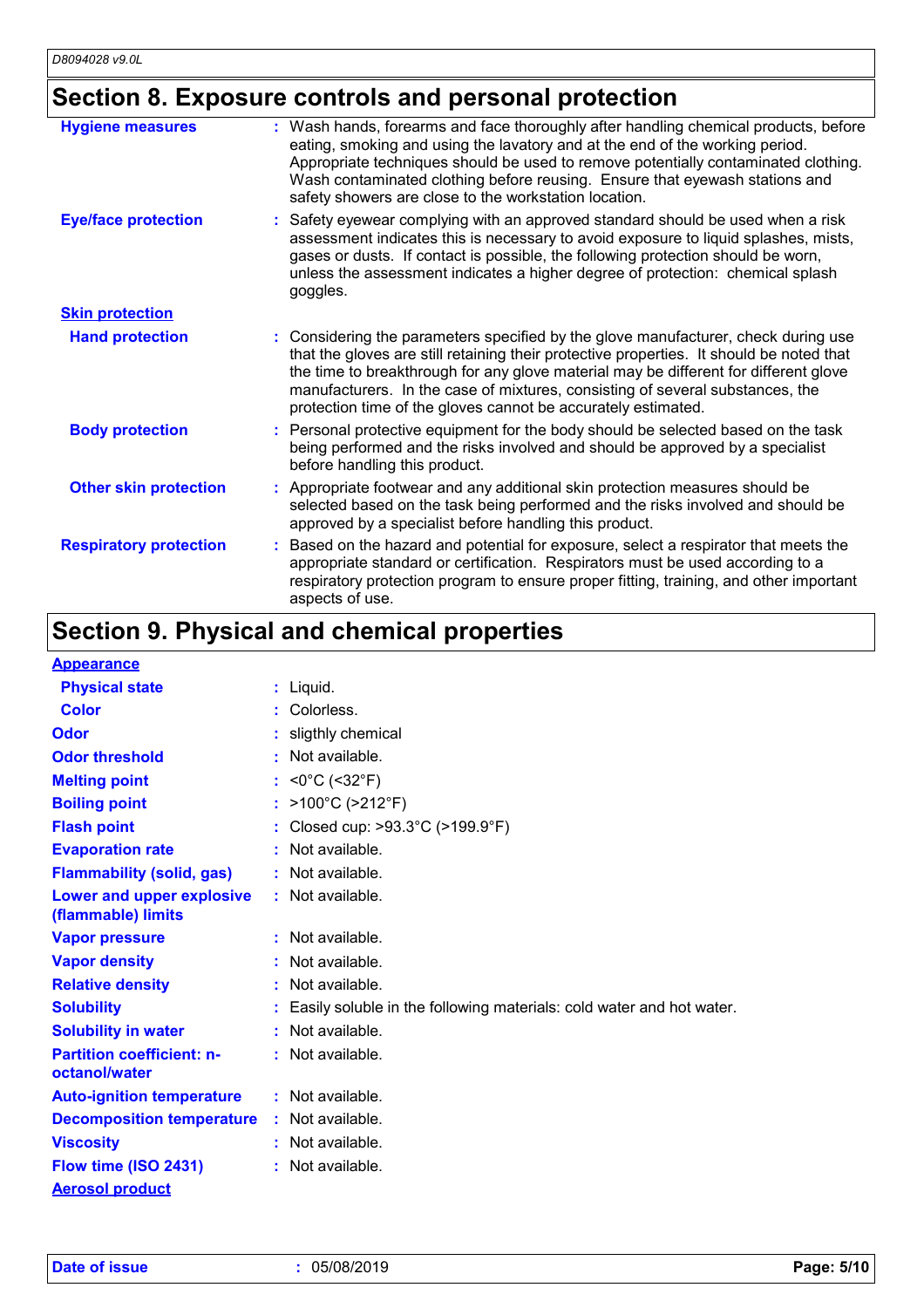# **Section 8. Exposure controls and personal protection**

| <b>Hygiene measures</b>       | : Wash hands, forearms and face thoroughly after handling chemical products, before<br>eating, smoking and using the lavatory and at the end of the working period.<br>Appropriate techniques should be used to remove potentially contaminated clothing.<br>Wash contaminated clothing before reusing. Ensure that eyewash stations and<br>safety showers are close to the workstation location.                        |
|-------------------------------|--------------------------------------------------------------------------------------------------------------------------------------------------------------------------------------------------------------------------------------------------------------------------------------------------------------------------------------------------------------------------------------------------------------------------|
| <b>Eye/face protection</b>    | Safety eyewear complying with an approved standard should be used when a risk<br>assessment indicates this is necessary to avoid exposure to liquid splashes, mists,<br>gases or dusts. If contact is possible, the following protection should be worn,<br>unless the assessment indicates a higher degree of protection: chemical splash<br>goggles.                                                                   |
| <b>Skin protection</b>        |                                                                                                                                                                                                                                                                                                                                                                                                                          |
| <b>Hand protection</b>        | : Considering the parameters specified by the glove manufacturer, check during use<br>that the gloves are still retaining their protective properties. It should be noted that<br>the time to breakthrough for any glove material may be different for different glove<br>manufacturers. In the case of mixtures, consisting of several substances, the<br>protection time of the gloves cannot be accurately estimated. |
| <b>Body protection</b>        | Personal protective equipment for the body should be selected based on the task<br>being performed and the risks involved and should be approved by a specialist<br>before handling this product.                                                                                                                                                                                                                        |
| <b>Other skin protection</b>  | Appropriate footwear and any additional skin protection measures should be<br>selected based on the task being performed and the risks involved and should be<br>approved by a specialist before handling this product.                                                                                                                                                                                                  |
| <b>Respiratory protection</b> | Based on the hazard and potential for exposure, select a respirator that meets the<br>appropriate standard or certification. Respirators must be used according to a<br>respiratory protection program to ensure proper fitting, training, and other important<br>aspects of use.                                                                                                                                        |

# **Section 9. Physical and chemical properties**

| <b>Appearance</b>                                      |                                                                      |
|--------------------------------------------------------|----------------------------------------------------------------------|
| <b>Physical state</b>                                  | $:$ Liquid.                                                          |
| Color                                                  | Colorless.                                                           |
| Odor                                                   | sligthly chemical                                                    |
| <b>Odor threshold</b>                                  | Not available.                                                       |
| <b>Melting point</b>                                   | : <0°C (<32°F)                                                       |
| <b>Boiling point</b>                                   | : >100°C (>212°F)                                                    |
| <b>Flash point</b>                                     | Closed cup: >93.3°C (>199.9°F)                                       |
| <b>Evaporation rate</b>                                | Not available.                                                       |
| <b>Flammability (solid, gas)</b>                       | Not available.                                                       |
| <b>Lower and upper explosive</b><br>(flammable) limits | Not available.                                                       |
| <b>Vapor pressure</b>                                  | Not available.                                                       |
| <b>Vapor density</b>                                   | Not available.                                                       |
| <b>Relative density</b>                                | Not available.                                                       |
| <b>Solubility</b>                                      | Easily soluble in the following materials: cold water and hot water. |
| <b>Solubility in water</b>                             | Not available.                                                       |
| <b>Partition coefficient: n-</b><br>octanol/water      | $:$ Not available.                                                   |
| <b>Auto-ignition temperature</b>                       | $:$ Not available.                                                   |
| <b>Decomposition temperature</b>                       | Not available.                                                       |
| <b>Viscosity</b>                                       | Not available.                                                       |
| Flow time (ISO 2431)                                   | Not available.                                                       |
| <b>Aerosol product</b>                                 |                                                                      |

**Date of issue :** 05/08/2019 **Page: 5/10**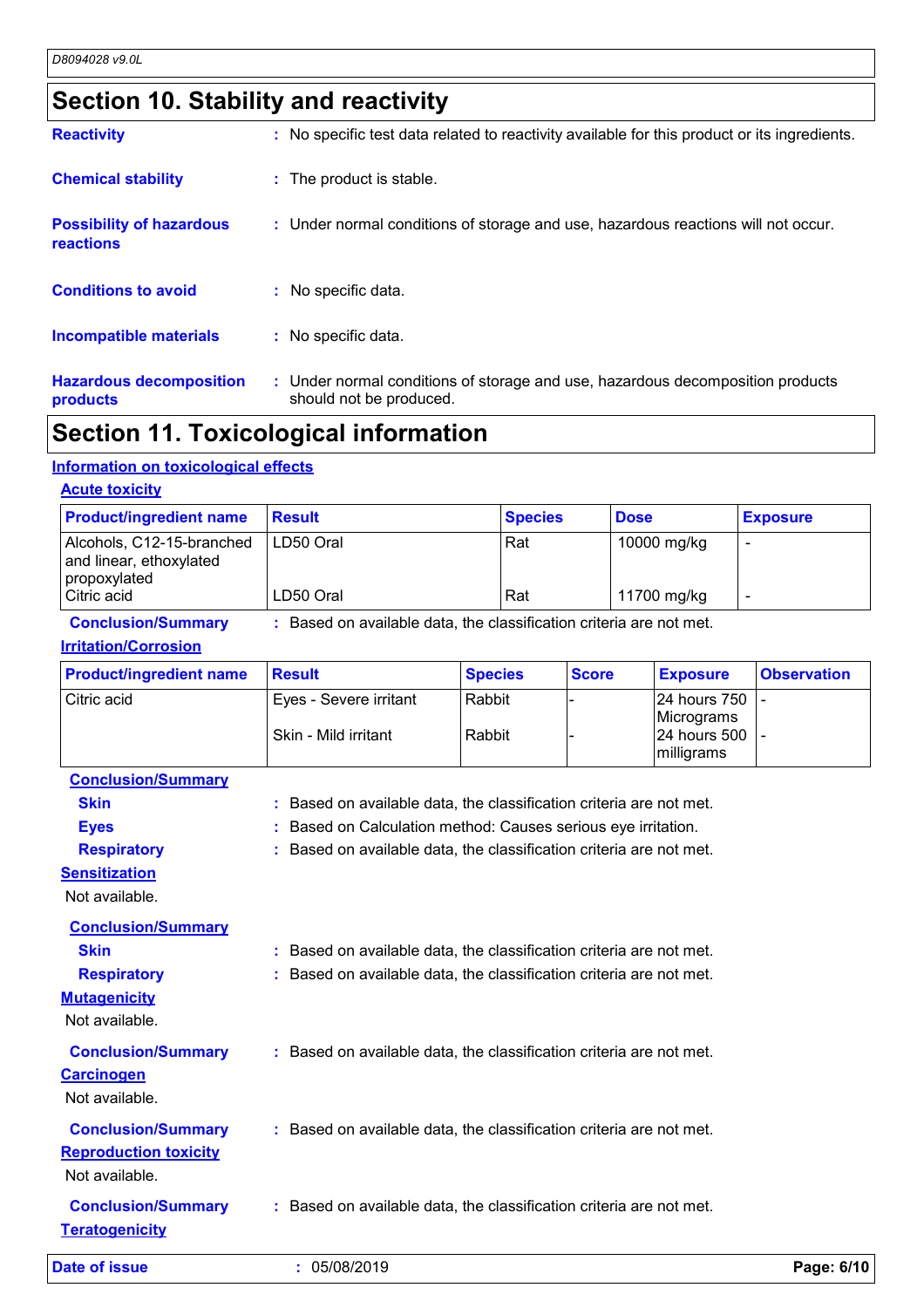# **Section 10. Stability and reactivity**

| <b>Reactivity</b>                            | : No specific test data related to reactivity available for this product or its ingredients.              |
|----------------------------------------------|-----------------------------------------------------------------------------------------------------------|
| <b>Chemical stability</b>                    | : The product is stable.                                                                                  |
| <b>Possibility of hazardous</b><br>reactions | : Under normal conditions of storage and use, hazardous reactions will not occur.                         |
| <b>Conditions to avoid</b>                   | : No specific data.                                                                                       |
| Incompatible materials                       | : No specific data.                                                                                       |
| <b>Hazardous decomposition</b><br>products   | : Under normal conditions of storage and use, hazardous decomposition products<br>should not be produced. |

### **Section 11. Toxicological information**

#### **Information on toxicological effects**

| <b>Acute toxicity</b>                                                |               |                |             |                 |
|----------------------------------------------------------------------|---------------|----------------|-------------|-----------------|
| <b>Product/ingredient name</b>                                       | <b>Result</b> | <b>Species</b> | <b>Dose</b> | <b>Exposure</b> |
| Alcohols, C12-15-branched<br>and linear, ethoxylated<br>propoxylated | LD50 Oral     | Rat            | 10000 mg/kg |                 |
| Citric acid                                                          | LD50 Oral     | Rat            | 11700 mg/kg |                 |

### **Conclusion/Summary :** Based on available data, the classification criteria are not met. **Irritation/Corrosion**

| <b>Product/ingredient name</b>                     | <b>Result</b>                                                       | <b>Species</b> | <b>Score</b> | <b>Exposure</b>                          | <b>Observation</b> |
|----------------------------------------------------|---------------------------------------------------------------------|----------------|--------------|------------------------------------------|--------------------|
| Citric acid                                        | Eyes - Severe irritant                                              | Rabbit         |              | 24 hours 750                             |                    |
|                                                    | Skin - Mild irritant                                                | Rabbit         |              | Micrograms<br>24 hours 500<br>milligrams |                    |
| <b>Conclusion/Summary</b>                          |                                                                     |                |              |                                          |                    |
| <b>Skin</b>                                        | : Based on available data, the classification criteria are not met. |                |              |                                          |                    |
| <b>Eyes</b>                                        | Based on Calculation method: Causes serious eye irritation.         |                |              |                                          |                    |
| <b>Respiratory</b>                                 | : Based on available data, the classification criteria are not met. |                |              |                                          |                    |
| <b>Sensitization</b>                               |                                                                     |                |              |                                          |                    |
| Not available.                                     |                                                                     |                |              |                                          |                    |
| <b>Conclusion/Summary</b>                          |                                                                     |                |              |                                          |                    |
| <b>Skin</b>                                        | : Based on available data, the classification criteria are not met. |                |              |                                          |                    |
| <b>Respiratory</b>                                 | : Based on available data, the classification criteria are not met. |                |              |                                          |                    |
| <b>Mutagenicity</b>                                |                                                                     |                |              |                                          |                    |
| Not available.                                     |                                                                     |                |              |                                          |                    |
| <b>Conclusion/Summary</b>                          | : Based on available data, the classification criteria are not met. |                |              |                                          |                    |
| <b>Carcinogen</b>                                  |                                                                     |                |              |                                          |                    |
| Not available.                                     |                                                                     |                |              |                                          |                    |
| <b>Conclusion/Summary</b>                          | : Based on available data, the classification criteria are not met. |                |              |                                          |                    |
| <b>Reproduction toxicity</b>                       |                                                                     |                |              |                                          |                    |
| Not available.                                     |                                                                     |                |              |                                          |                    |
|                                                    |                                                                     |                |              |                                          |                    |
| <b>Conclusion/Summary</b><br><b>Teratogenicity</b> | : Based on available data, the classification criteria are not met. |                |              |                                          |                    |
| <b>Date of issue</b>                               | : 05/08/2019                                                        |                |              |                                          | Page: 6/10         |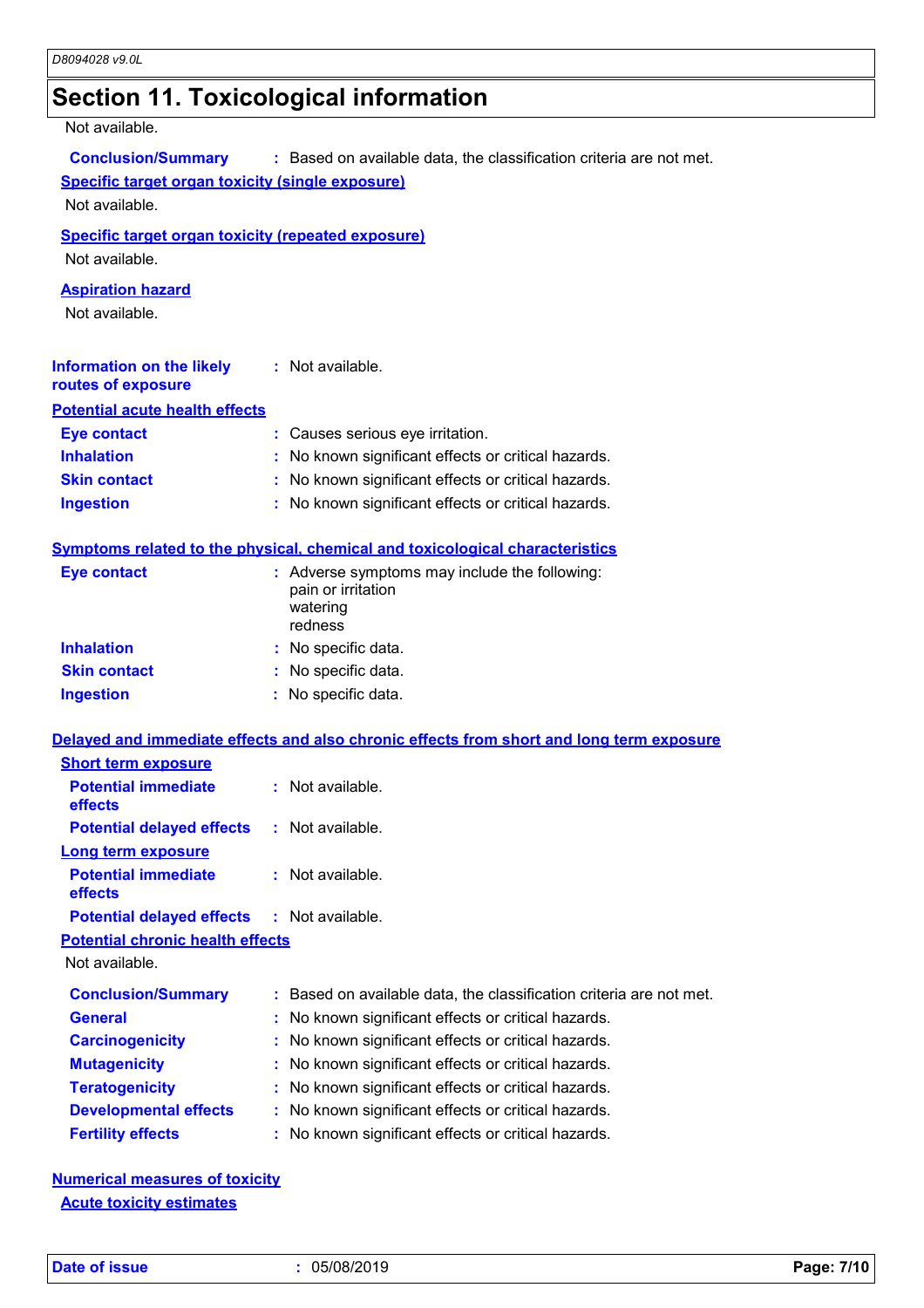# **Section 11. Toxicological information**

Not available.

| ι νυι αναιιανισ.                                                                                                                                                              |                                                                                            |  |  |
|-------------------------------------------------------------------------------------------------------------------------------------------------------------------------------|--------------------------------------------------------------------------------------------|--|--|
| <b>Conclusion/Summary</b><br>: Based on available data, the classification criteria are not met.<br><b>Specific target organ toxicity (single exposure)</b><br>Not available. |                                                                                            |  |  |
| <b>Specific target organ toxicity (repeated exposure)</b><br>Not available.                                                                                                   |                                                                                            |  |  |
| <b>Aspiration hazard</b><br>Not available.                                                                                                                                    |                                                                                            |  |  |
| <b>Information on the likely</b><br>routes of exposure                                                                                                                        | : Not available.                                                                           |  |  |
| <b>Potential acute health effects</b>                                                                                                                                         |                                                                                            |  |  |
| <b>Eye contact</b>                                                                                                                                                            | : Causes serious eye irritation.                                                           |  |  |
| <b>Inhalation</b>                                                                                                                                                             | : No known significant effects or critical hazards.                                        |  |  |
| <b>Skin contact</b>                                                                                                                                                           | : No known significant effects or critical hazards.                                        |  |  |
| <b>Ingestion</b>                                                                                                                                                              | : No known significant effects or critical hazards.                                        |  |  |
|                                                                                                                                                                               | Symptoms related to the physical, chemical and toxicological characteristics               |  |  |
| <b>Eye contact</b>                                                                                                                                                            | : Adverse symptoms may include the following:<br>pain or irritation<br>watering<br>redness |  |  |
| <b>Inhalation</b>                                                                                                                                                             | : No specific data.                                                                        |  |  |
| <b>Skin contact</b>                                                                                                                                                           | : No specific data.                                                                        |  |  |
| <b>Ingestion</b>                                                                                                                                                              | : No specific data.                                                                        |  |  |
|                                                                                                                                                                               | Delayed and immediate effects and also chronic effects from short and long term exposure   |  |  |
| <b>Short term exposure</b>                                                                                                                                                    |                                                                                            |  |  |
| <b>Potential immediate</b><br>effects                                                                                                                                         | : Not available.                                                                           |  |  |
| Potential delayed effects : Not available.                                                                                                                                    |                                                                                            |  |  |
| Long term exposure                                                                                                                                                            |                                                                                            |  |  |
| <b>Potential immediate</b><br>effects                                                                                                                                         | : Not available.                                                                           |  |  |
| <b>Potential delayed effects</b>                                                                                                                                              | : Not available.                                                                           |  |  |
| <b>Potential chronic health effects</b>                                                                                                                                       |                                                                                            |  |  |
| Not available.                                                                                                                                                                |                                                                                            |  |  |
| <b>Conclusion/Summary</b>                                                                                                                                                     | : Based on available data, the classification criteria are not met.                        |  |  |
| <b>General</b>                                                                                                                                                                | No known significant effects or critical hazards.                                          |  |  |
| <b>Carcinogenicity</b>                                                                                                                                                        | No known significant effects or critical hazards.                                          |  |  |
| <b>Mutagenicity</b>                                                                                                                                                           | No known significant effects or critical hazards.                                          |  |  |
| <b>Teratogenicity</b>                                                                                                                                                         | No known significant effects or critical hazards.                                          |  |  |
| <b>Developmental effects</b>                                                                                                                                                  | No known significant effects or critical hazards.                                          |  |  |
| <b>Fertility effects</b>                                                                                                                                                      | No known significant effects or critical hazards.                                          |  |  |

**Numerical measures of toxicity Acute toxicity estimates**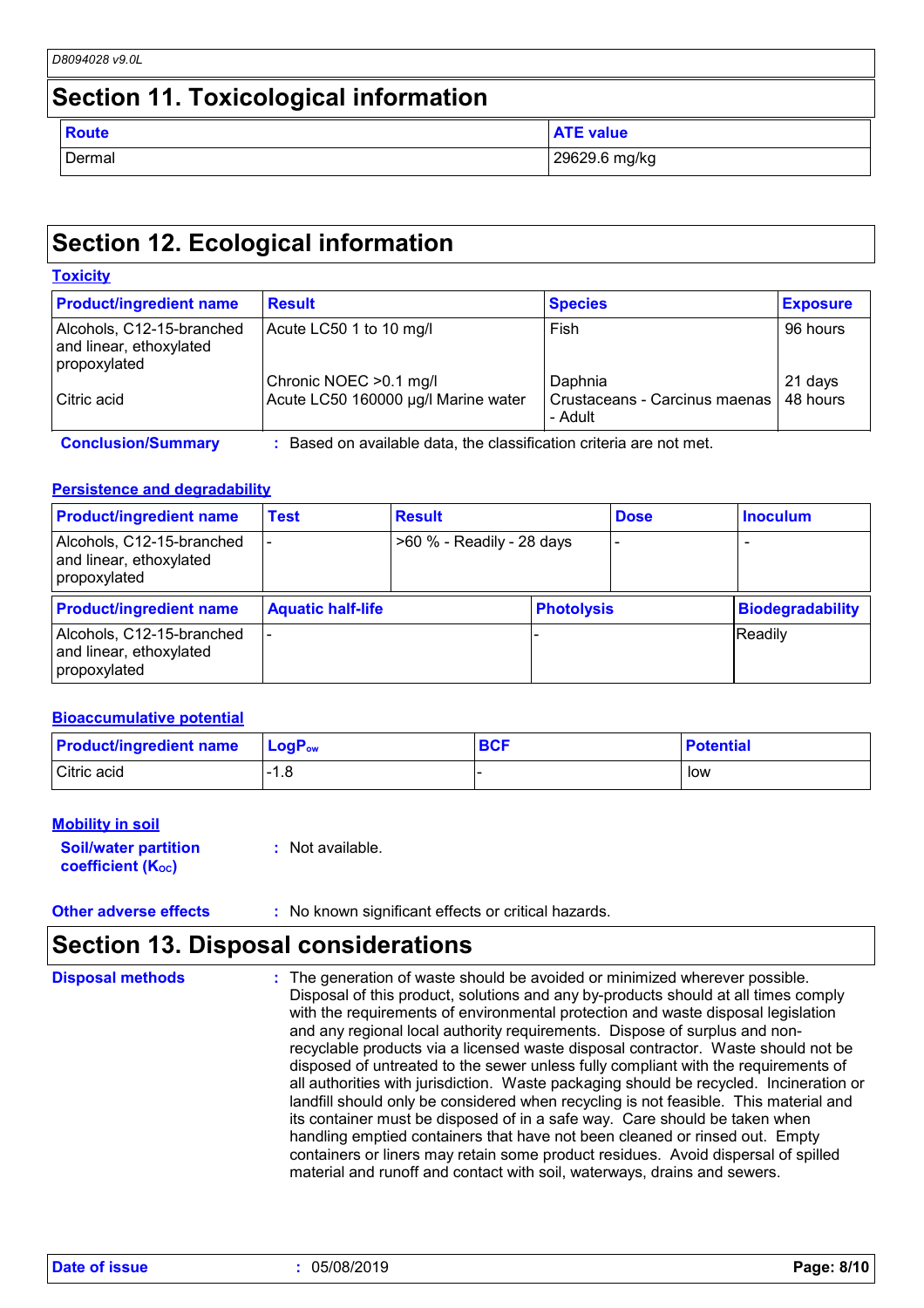|                                              | D8094028 v9.0L |                  |  |  |
|----------------------------------------------|----------------|------------------|--|--|
| <b>Section 11. Toxicological information</b> |                |                  |  |  |
|                                              | <b>Route</b>   | <b>ATE value</b> |  |  |
|                                              | Dermal         | 29629.6 mg/kg    |  |  |

### **Section 12. Ecological information**

#### **Toxicity** Alcohols, C12-15-branched and linear, ethoxylated propoxylated Acute LC50 1 to 10 mg/l Fish Fish 96 hours Chronic NOEC > 0.1 mg/l <br>Acute LC50 160000 µg/l Marine water Crustaceans - Carcinus maenas | 48 hours Citric acid **Acute LC50 160000 µg**/l Marine water - Adult 48 hours **Product/ingredient name** Result **Result Result Exposure Exposure Conclusion/Summary :** Based on available data, the classification criteria are not met.

### **Persistence and degradability**

| <b>Product/ingredient name</b>                                       | <b>Test</b>              | <b>Result</b>             |                   | <b>Dose</b> | <b>Inoculum</b>         |
|----------------------------------------------------------------------|--------------------------|---------------------------|-------------------|-------------|-------------------------|
| Alcohols, C12-15-branched<br>and linear, ethoxylated<br>propoxylated |                          | >60 % - Readily - 28 days |                   |             |                         |
| <b>Product/ingredient name</b>                                       | <b>Aquatic half-life</b> |                           | <b>Photolysis</b> |             | <b>Biodegradability</b> |
| Alcohols, C12-15-branched<br>and linear, ethoxylated<br>propoxylated |                          |                           |                   |             | Readily                 |

#### **Bioaccumulative potential**

| <b>Product/ingredient name</b> | <b>LogP</b> <sub>ow</sub> | <b>BCF</b> | <b>Potential</b> |
|--------------------------------|---------------------------|------------|------------------|
| Citric acid                    | 1.8                       |            | low              |

#### **Mobility in soil**

**Soil/water partition coefficient (KOC) :** Not available.

**Other adverse effects** : No known significant effects or critical hazards.

### **Section 13. Disposal considerations**

| <b>Disposal methods</b> | : The generation of waste should be avoided or minimized wherever possible.<br>Disposal of this product, solutions and any by-products should at all times comply<br>with the requirements of environmental protection and waste disposal legislation<br>and any regional local authority requirements. Dispose of surplus and non-<br>recyclable products via a licensed waste disposal contractor. Waste should not be<br>disposed of untreated to the sewer unless fully compliant with the requirements of<br>all authorities with jurisdiction. Waste packaging should be recycled. Incineration or<br>landfill should only be considered when recycling is not feasible. This material and<br>its container must be disposed of in a safe way. Care should be taken when<br>handling emptied containers that have not been cleaned or rinsed out. Empty |
|-------------------------|---------------------------------------------------------------------------------------------------------------------------------------------------------------------------------------------------------------------------------------------------------------------------------------------------------------------------------------------------------------------------------------------------------------------------------------------------------------------------------------------------------------------------------------------------------------------------------------------------------------------------------------------------------------------------------------------------------------------------------------------------------------------------------------------------------------------------------------------------------------|
|                         | containers or liners may retain some product residues. Avoid dispersal of spilled<br>material and runoff and contact with soil, waterways, drains and sewers.                                                                                                                                                                                                                                                                                                                                                                                                                                                                                                                                                                                                                                                                                                 |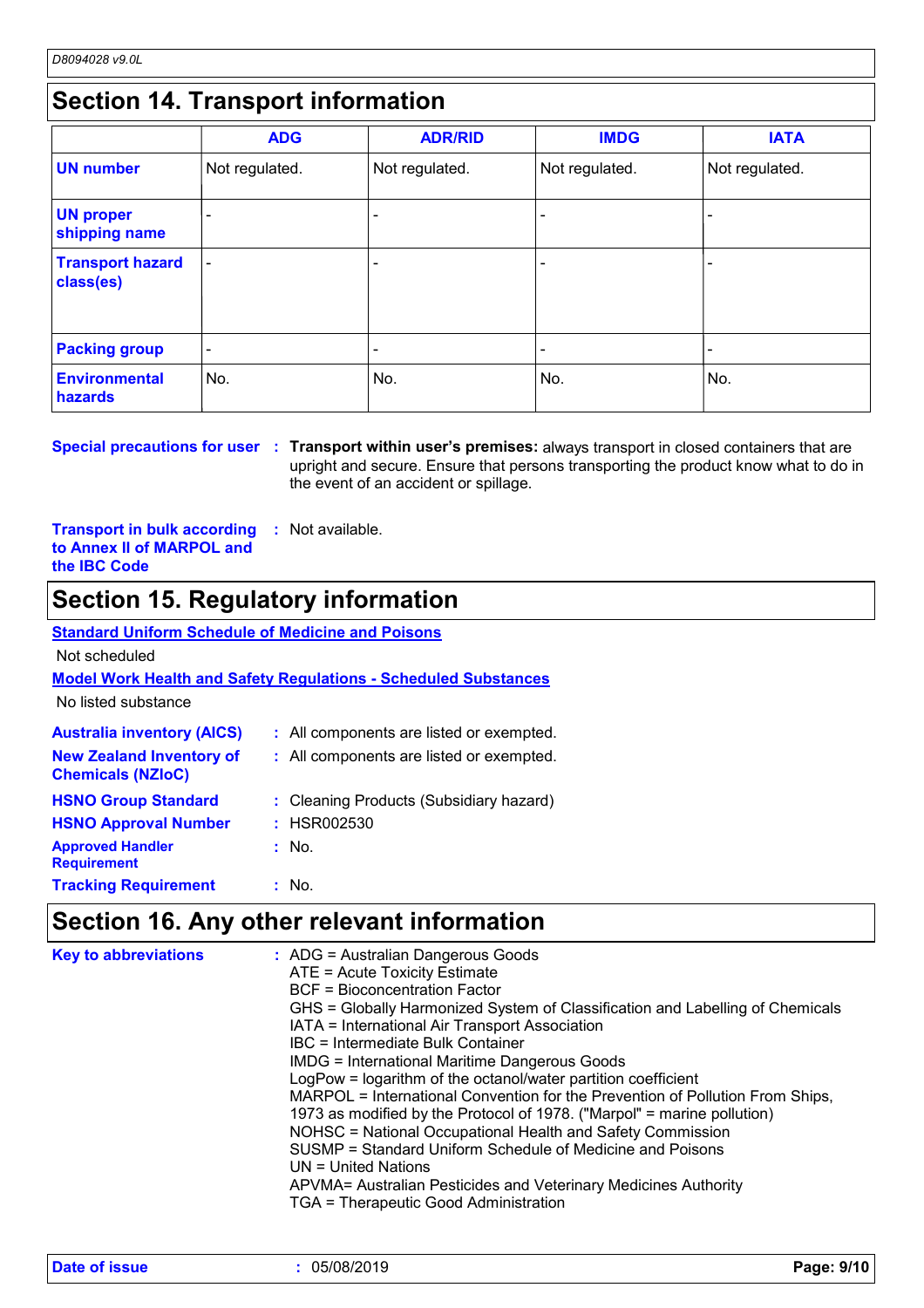### **Section 14. Transport information**

|                                      | <b>ADG</b>               | <b>ADR/RID</b> | <b>IMDG</b>    | <b>IATA</b>              |
|--------------------------------------|--------------------------|----------------|----------------|--------------------------|
| <b>UN number</b>                     | Not regulated.           | Not regulated. | Not regulated. | Not regulated.           |
| <b>UN proper</b><br>shipping name    | -                        |                |                |                          |
| <b>Transport hazard</b><br>class(es) | $\overline{\phantom{0}}$ |                |                | $\overline{\phantom{0}}$ |
| <b>Packing group</b>                 | $\overline{\phantom{a}}$ |                |                |                          |
| <b>Environmental</b><br>hazards      | No.                      | No.            | No.            | No.                      |

**Special precautions for user Transport within user's premises:** always transport in closed containers that are **:** upright and secure. Ensure that persons transporting the product know what to do in the event of an accident or spillage.

**Transport in bulk according to Annex II of MARPOL and the IBC Code :** Not available.

### **Section 15. Regulatory information**

### **Standard Uniform Schedule of Medicine and Poisons**

Not scheduled

### **Model Work Health and Safety Regulations - Scheduled Substances**

No listed substance

| <b>Australia inventory (AICS)</b>                           | : All components are listed or exempted. |
|-------------------------------------------------------------|------------------------------------------|
| <b>New Zealand Inventory of</b><br><b>Chemicals (NZIoC)</b> | : All components are listed or exempted. |
| <b>HSNO Group Standard</b>                                  | : Cleaning Products (Subsidiary hazard)  |
| <b>HSNO Approval Number</b>                                 | : HSR002530                              |
| <b>Approved Handler</b><br><b>Requirement</b>               | : No.                                    |
| <b>Tracking Requirement</b>                                 | : No.                                    |

### **Section 16. Any other relevant information**

| <b>Key to abbreviations</b> | : ADG = Australian Dangerous Goods<br>ATE = Acute Toxicity Estimate<br><b>BCF</b> = Bioconcentration Factor<br>GHS = Globally Harmonized System of Classification and Labelling of Chemicals<br>IATA = International Air Transport Association<br>IBC = Intermediate Bulk Container<br><b>IMDG = International Maritime Dangerous Goods</b><br>LogPow = logarithm of the octanol/water partition coefficient<br>MARPOL = International Convention for the Prevention of Pollution From Ships,<br>1973 as modified by the Protocol of 1978. ("Marpol" = marine pollution)<br>NOHSC = National Occupational Health and Safety Commission<br>SUSMP = Standard Uniform Schedule of Medicine and Poisons<br>UN = United Nations<br>APVMA= Australian Pesticides and Veterinary Medicines Authority<br>TGA = Therapeutic Good Administration |
|-----------------------------|----------------------------------------------------------------------------------------------------------------------------------------------------------------------------------------------------------------------------------------------------------------------------------------------------------------------------------------------------------------------------------------------------------------------------------------------------------------------------------------------------------------------------------------------------------------------------------------------------------------------------------------------------------------------------------------------------------------------------------------------------------------------------------------------------------------------------------------|
|-----------------------------|----------------------------------------------------------------------------------------------------------------------------------------------------------------------------------------------------------------------------------------------------------------------------------------------------------------------------------------------------------------------------------------------------------------------------------------------------------------------------------------------------------------------------------------------------------------------------------------------------------------------------------------------------------------------------------------------------------------------------------------------------------------------------------------------------------------------------------------|